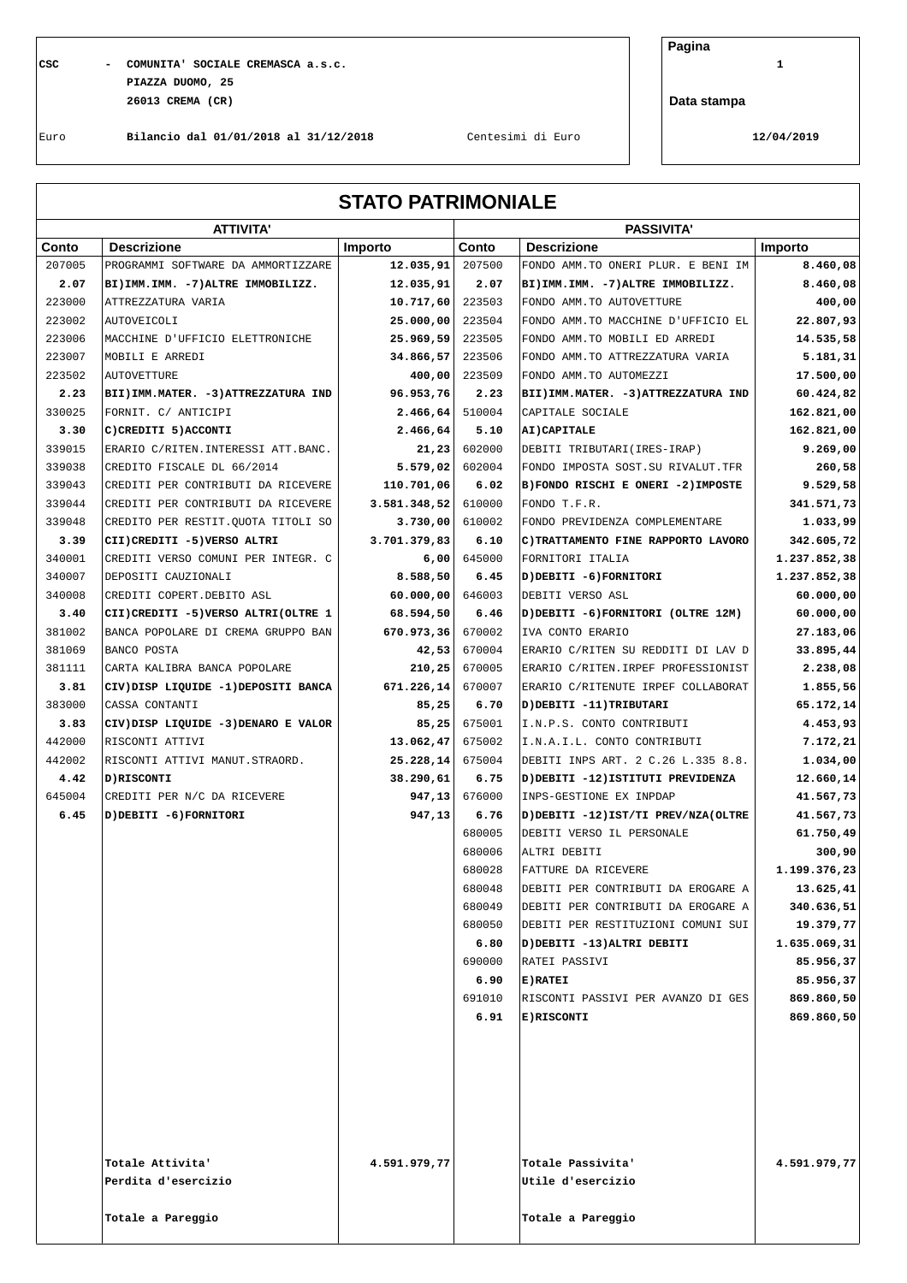**CSC - COMUNITA' SOCIALE CREMASCA a.s.c. 1 PIAZZA DUOMO, 25 26013 CREMA (CR)**

**Pagina**

**Data stampa**

Euro **Bilancio dal 01/01/2018 al 31/12/2018** Centesimi di Euro **12/04/2019**

## **STATO PATRIMONIALE**

|        | <b>ATTIVITA'</b>                       |                |                  | <b>PASSIVITA'</b>                                                        |                           |  |  |
|--------|----------------------------------------|----------------|------------------|--------------------------------------------------------------------------|---------------------------|--|--|
| Conto  | <b>Descrizione</b>                     | <b>Importo</b> | Conto            | <b>Descrizione</b>                                                       | Importo                   |  |  |
| 207005 | PROGRAMMI SOFTWARE DA AMMORTIZZARE     | 12.035,91      | 207500           | FONDO AMM. TO ONERI PLUR. E BENI IM                                      | 8.460,08                  |  |  |
| 2.07   | BI) IMM. IMM. - 7) ALTRE IMMOBILIZZ.   | 12.035,91      | 2.07             | BI) IMM. IMM. - 7) ALTRE IMMOBILIZZ.                                     | 8.460,08                  |  |  |
| 223000 | ATTREZZATURA VARIA                     | 10.717,60      | 223503           | FONDO AMM. TO AUTOVETTURE                                                | 400,00                    |  |  |
| 223002 | <b>AUTOVEICOLI</b>                     | 25.000,00      | 223504           | FONDO AMM. TO MACCHINE D'UFFICIO EL                                      | 22.807,93                 |  |  |
| 223006 | MACCHINE D'UFFICIO ELETTRONICHE        | 25.969,59      | 223505           | FONDO AMM. TO MOBILI ED ARREDI                                           | 14.535,58                 |  |  |
| 223007 | MOBILI E ARREDI                        | 34.866,57      | 223506           | FONDO AMM. TO ATTREZZATURA VARIA                                         | 5.181,31                  |  |  |
| 223502 | <b>AUTOVETTURE</b>                     | 400,00         | 223509           | FONDO AMM. TO AUTOMEZZI                                                  | 17.500,00                 |  |  |
| 2.23   | BII) IMM. MATER. - 3) ATTREZZATURA IND | 96.953,76      | 2.23             | BII) IMM. MATER. - 3) ATTREZZATURA IND                                   | 60.424,82                 |  |  |
| 330025 | FORNIT. C/ ANTICIPI                    | 2.466, 64      | 510004           | CAPITALE SOCIALE                                                         | 162.821,00                |  |  |
| 3.30   | C) CREDITI 5) ACCONTI                  | 2.466,64       | 5.10             | AI) CAPITALE                                                             | 162.821,00                |  |  |
| 339015 | ERARIO C/RITEN. INTERESSI ATT. BANC.   | 21, 23         | 602000           | DEBITI TRIBUTARI (IRES-IRAP)                                             | 9.269,00                  |  |  |
| 339038 | CREDITO FISCALE DL 66/2014             | 5.579,02       | 602004           | FONDO IMPOSTA SOST. SU RIVALUT. TFR                                      | 260,58                    |  |  |
| 339043 | CREDITI PER CONTRIBUTI DA RICEVERE     | 110.701,06     | 6.02             | B) FONDO RISCHI E ONERI -2) IMPOSTE                                      | 9.529,58                  |  |  |
| 339044 | CREDITI PER CONTRIBUTI DA RICEVERE     | 3.581.348,52   | 610000           | FONDO T.F.R.                                                             | 341.571,73                |  |  |
| 339048 | CREDITO PER RESTIT. OUOTA TITOLI SO    | 3.730,00       | 610002           | FONDO PREVIDENZA COMPLEMENTARE                                           | 1.033,99                  |  |  |
| 3.39   | CII) CREDITI -5) VERSO ALTRI           | 3.701.379,83   | 6.10             | C) TRATTAMENTO FINE RAPPORTO LAVORO                                      | 342.605,72                |  |  |
| 340001 | CREDITI VERSO COMUNI PER INTEGR. C     | 6,00           | 645000           | FORNITORI ITALIA                                                         | 1.237.852,38              |  |  |
| 340007 | DEPOSITI CAUZIONALI                    | 8.588,50       | 6.45             | D) DEBITI -6) FORNITORI                                                  | 1.237.852,38              |  |  |
| 340008 | CREDITI COPERT. DEBITO ASL             | 60.000,00      | 646003           | DEBITI VERSO ASL                                                         | 60.000,00                 |  |  |
| 3.40   | CII) CREDITI -5) VERSO ALTRI (OLTRE 1  | 68.594,50      | 6.46             | D) DEBITI -6) FORNITORI (OLTRE 12M)                                      | 60.000,00                 |  |  |
| 381002 | BANCA POPOLARE DI CREMA GRUPPO BAN     | 670.973,36     | 670002           | IVA CONTO ERARIO                                                         | 27.183,06                 |  |  |
| 381069 | BANCO POSTA                            | 42,53          | 670004           | ERARIO C/RITEN SU REDDITI DI LAV D                                       | 33.895,44                 |  |  |
| 381111 | CARTA KALIBRA BANCA POPOLARE           | 210,25         | 670005           | ERARIO C/RITEN. IRPEF PROFESSIONIST                                      | 2.238,08                  |  |  |
| 3.81   | CIV) DISP LIQUIDE -1) DEPOSITI BANCA   | 671.226,14     | 670007           | ERARIO C/RITENUTE IRPEF COLLABORAT                                       | 1.855,56                  |  |  |
| 383000 | CASSA CONTANTI                         | 85,25          | 6.70             | D) DEBITI -11) TRIBUTARI                                                 | 65.172,14                 |  |  |
| 3.83   | CIV) DISP LIQUIDE -3) DENARO E VALOR   | 85,25          | 675001           | I.N.P.S. CONTO CONTRIBUTI                                                | 4.453,93                  |  |  |
| 442000 | RISCONTI ATTIVI                        | 13.062,47      | 675002           | I.N.A.I.L. CONTO CONTRIBUTI                                              | 7.172,21                  |  |  |
| 442002 | RISCONTI ATTIVI MANUT.STRAORD.         | 25.228,14      | 675004           | DEBITI INPS ART. 2 C.26 L.335 8.8.                                       | 1.034,00                  |  |  |
| 4.42   | D) RISCONTI                            | 38.290,61      | 6.75             | D) DEBITI -12) ISTITUTI PREVIDENZA                                       | 12.660,14                 |  |  |
| 645004 | CREDITI PER N/C DA RICEVERE            | 947,13         | 676000           | INPS-GESTIONE EX INPDAP                                                  | 41.567,73                 |  |  |
| 6.45   | D) DEBITI -6) FORNITORI                | 947,13         | 6.76             | D) DEBITI -12) IST/TI PREV/NZA(OLTRE                                     | 41.567,73                 |  |  |
|        |                                        |                | 680005           | DEBITI VERSO IL PERSONALE                                                | 61.750,49                 |  |  |
|        |                                        |                | 680006<br>680028 | ALTRI DEBITI<br>FATTURE DA RICEVERE                                      | 300,90                    |  |  |
|        |                                        |                | 680048           | DEBITI PER CONTRIBUTI DA EROGARE A                                       | 1.199.376,23<br>13.625,41 |  |  |
|        |                                        |                |                  |                                                                          |                           |  |  |
|        |                                        |                | 680049<br>680050 | DEBITI PER CONTRIBUTI DA EROGARE A<br>DEBITI PER RESTITUZIONI COMUNI SUI | 340.636,51<br>19.379,77   |  |  |
|        |                                        |                | 6.80             | D) DEBITI -13) ALTRI DEBITI                                              | 1.635.069,31              |  |  |
|        |                                        |                | 690000           | RATEI PASSIVI                                                            | 85.956, 37                |  |  |
|        |                                        |                | 6.90             | <b>E)RATEI</b>                                                           | 85.956,37                 |  |  |
|        |                                        |                | 691010           | RISCONTI PASSIVI PER AVANZO DI GES                                       | 869.860,50                |  |  |
|        |                                        |                | 6.91             | <b>E)RISCONTI</b>                                                        | 869.860,50                |  |  |
|        |                                        |                |                  |                                                                          |                           |  |  |
|        |                                        |                |                  |                                                                          |                           |  |  |
|        |                                        |                |                  |                                                                          |                           |  |  |
|        |                                        |                |                  |                                                                          |                           |  |  |
|        |                                        |                |                  |                                                                          |                           |  |  |
|        |                                        |                |                  |                                                                          |                           |  |  |
|        |                                        |                |                  |                                                                          |                           |  |  |
|        | Totale Attivita'                       | 4.591.979,77   |                  | Totale Passivita'                                                        | 4.591.979,77              |  |  |
|        | Perdita d'esercizio                    |                |                  | Utile d'esercizio                                                        |                           |  |  |
|        |                                        |                |                  |                                                                          |                           |  |  |
|        | Totale a Pareggio                      |                |                  | Totale a Pareggio                                                        |                           |  |  |
|        |                                        |                |                  |                                                                          |                           |  |  |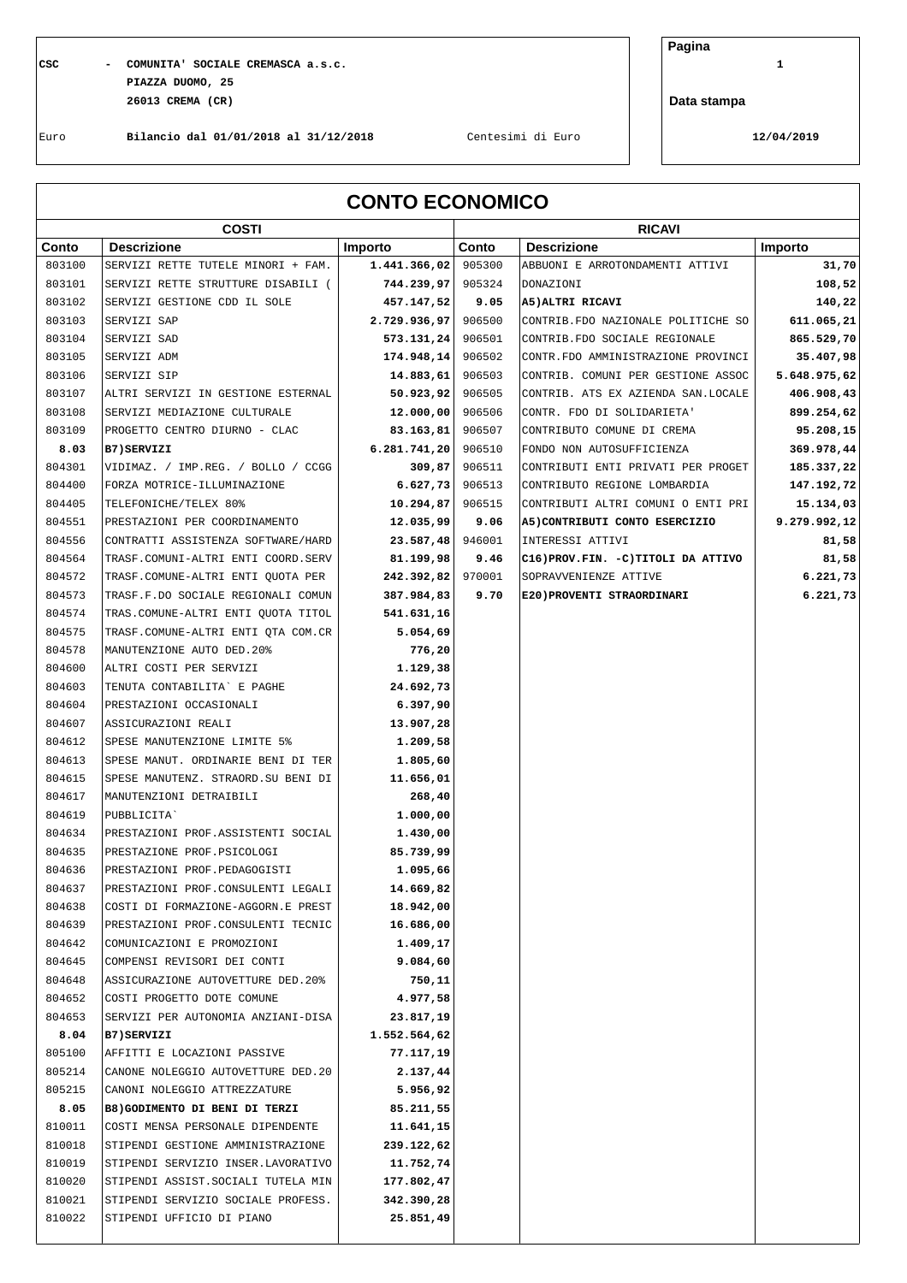## **CSC - COMUNITA' SOCIALE CREMASCA a.s.c. 1 PIAZZA DUOMO, 25 26013 CREMA (CR)**

**Pagina**

**Data stampa**

Euro **Bilancio dal 01/01/2018 al 31/12/2018** Centesimi di Euro **12/04/2019**

| <b>CONTO ECONOMICO</b> |                                     |              |        |                                       |              |
|------------------------|-------------------------------------|--------------|--------|---------------------------------------|--------------|
|                        | <b>COSTI</b>                        |              |        | <b>RICAVI</b>                         |              |
| Conto                  | <b>Descrizione</b>                  | Importo      | Conto  | <b>Descrizione</b>                    | Importo      |
| 803100                 | SERVIZI RETTE TUTELE MINORI + FAM.  | 1.441.366,02 | 905300 | ABBUONI E ARROTONDAMENTI ATTIVI       | 31,70        |
| 803101                 | SERVIZI RETTE STRUTTURE DISABILI (  | 744.239,97   | 905324 | DONAZIONI                             | 108,52       |
| 803102                 | SERVIZI GESTIONE CDD IL SOLE        | 457.147,52   | 9.05   | A5) ALTRI RICAVI                      | 140,22       |
| 803103                 | SERVIZI SAP                         | 2.729.936,97 | 906500 | CONTRIB. FDO NAZIONALE POLITICHE SO   | 611.065,21   |
| 803104                 | SERVIZI SAD                         | 573.131, 24  | 906501 | CONTRIB. FDO SOCIALE REGIONALE        | 865.529,70   |
| 803105                 | SERVIZI ADM                         | 174.948, 14  | 906502 | CONTR.FDO AMMINISTRAZIONE PROVINCI    | 35.407,98    |
| 803106                 | SERVIZI SIP                         | 14.883, 61   | 906503 | CONTRIB. COMUNI PER GESTIONE ASSOC    | 5.648.975,62 |
| 803107                 | ALTRI SERVIZI IN GESTIONE ESTERNAL  | 50.923, 92   | 906505 | CONTRIB. ATS EX AZIENDA SAN.LOCALE    | 406.908,43   |
| 803108                 | SERVIZI MEDIAZIONE CULTURALE        | 12.000,00    | 906506 | CONTR. FDO DI SOLIDARIETA'            | 899.254,62   |
| 803109                 | PROGETTO CENTRO DIURNO - CLAC       | 83.163, 81   | 906507 | CONTRIBUTO COMUNE DI CREMA            | 95.208,15    |
| 8.03                   | <b>B7)SERVIZI</b>                   | 6.281.741,20 | 906510 | FONDO NON AUTOSUFFICIENZA             | 369.978,44   |
| 804301                 | VIDIMAZ. / IMP.REG. / BOLLO / CCGG  | 309,87       | 906511 | CONTRIBUTI ENTI PRIVATI PER PROGET    | 185.337,22   |
| 804400                 | FORZA MOTRICE-ILLUMINAZIONE         | 6.627,73     | 906513 | CONTRIBUTO REGIONE LOMBARDIA          | 147.192,72   |
| 804405                 | TELEFONICHE/TELEX 80%               | 10.294,87    | 906515 | CONTRIBUTI ALTRI COMUNI O ENTI PRI    | 15.134,03    |
| 804551                 | PRESTAZIONI PER COORDINAMENTO       | 12.035,99    | 9.06   | A5) CONTRIBUTI CONTO ESERCIZIO        | 9.279.992,12 |
| 804556                 | CONTRATTI ASSISTENZA SOFTWARE/HARD  | 23.587,48    | 946001 | INTERESSI ATTIVI                      | 81,58        |
| 804564                 | TRASF.COMUNI-ALTRI ENTI COORD.SERV  | 81.199,98    | 9.46   | C16) PROV. FIN. - C) TITOLI DA ATTIVO | 81,58        |
| 804572                 | TRASF.COMUNE-ALTRI ENTI QUOTA PER   | 242.392,82   | 970001 | SOPRAVVENIENZE ATTIVE                 | 6.221,73     |
| 804573                 | TRASF.F.DO SOCIALE REGIONALI COMUN  | 387.984,83   | 9.70   | E20) PROVENTI STRAORDINARI            | 6.221,73     |
| 804574                 | TRAS.COMUNE-ALTRI ENTI QUOTA TITOL  | 541.631,16   |        |                                       |              |
| 804575                 | TRASF.COMUNE-ALTRI ENTI QTA COM.CR  | 5.054,69     |        |                                       |              |
| 804578                 | MANUTENZIONE AUTO DED. 20%          | 776,20       |        |                                       |              |
| 804600                 | ALTRI COSTI PER SERVIZI             | 1.129,38     |        |                                       |              |
| 804603                 | TENUTA CONTABILITA` E PAGHE         | 24.692,73    |        |                                       |              |
| 804604                 | PRESTAZIONI OCCASIONALI             | 6.397,90     |        |                                       |              |
| 804607                 | ASSICURAZIONI REALI                 | 13.907,28    |        |                                       |              |
| 804612                 | SPESE MANUTENZIONE LIMITE 5%        | 1.209,58     |        |                                       |              |
| 804613                 | SPESE MANUT. ORDINARIE BENI DI TER  | 1.805,60     |        |                                       |              |
| 804615                 | SPESE MANUTENZ. STRAORD. SU BENI DI | 11.656,01    |        |                                       |              |
| 804617                 | MANUTENZIONI DETRAIBILI             | 268,40       |        |                                       |              |
| 804619                 | PUBBLICITA`                         | 1.000,00     |        |                                       |              |
| 804634                 | PRESTAZIONI PROF. ASSISTENTI SOCIAL | 1.430,00     |        |                                       |              |
| 804635                 | PRESTAZIONE PROF.PSICOLOGI          | 85.739,99    |        |                                       |              |
| 804636                 | PRESTAZIONI PROF. PEDAGOGISTI       | 1.095,66     |        |                                       |              |
| 804637                 | PRESTAZIONI PROF. CONSULENTI LEGALI | 14.669,82    |        |                                       |              |
| 804638                 | COSTI DI FORMAZIONE-AGGORN.E PREST  | 18.942,00    |        |                                       |              |
| 804639                 | PRESTAZIONI PROF. CONSULENTI TECNIC | 16.686,00    |        |                                       |              |
| 804642                 | COMUNICAZIONI E PROMOZIONI          | 1.409,17     |        |                                       |              |
| 804645                 | COMPENSI REVISORI DEI CONTI         | 9.084,60     |        |                                       |              |
| 804648                 | ASSICURAZIONE AUTOVETTURE DED. 20%  | 750,11       |        |                                       |              |
| 804652                 | COSTI PROGETTO DOTE COMUNE          | 4.977,58     |        |                                       |              |
| 804653                 | SERVIZI PER AUTONOMIA ANZIANI-DISA  | 23.817,19    |        |                                       |              |
| 8.04                   | B7)SERVIZI                          | 1.552.564,62 |        |                                       |              |
| 805100                 | AFFITTI E LOCAZIONI PASSIVE         | 77.117,19    |        |                                       |              |
| 805214                 | CANONE NOLEGGIO AUTOVETTURE DED. 20 | 2.137,44     |        |                                       |              |
| 805215                 | CANONI NOLEGGIO ATTREZZATURE        | 5.956,92     |        |                                       |              |
| 8.05                   | B8) GODIMENTO DI BENI DI TERZI      | 85.211,55    |        |                                       |              |
| 810011                 | COSTI MENSA PERSONALE DIPENDENTE    | 11.641,15    |        |                                       |              |
| 810018                 | STIPENDI GESTIONE AMMINISTRAZIONE   | 239.122,62   |        |                                       |              |
| 810019                 | STIPENDI SERVIZIO INSER.LAVORATIVO  | 11.752,74    |        |                                       |              |
| 810020                 | STIPENDI ASSIST. SOCIALI TUTELA MIN | 177.802,47   |        |                                       |              |
| 810021                 | STIPENDI SERVIZIO SOCIALE PROFESS.  | 342.390,28   |        |                                       |              |
| 810022                 | STIPENDI UFFICIO DI PIANO           | 25.851,49    |        |                                       |              |
|                        |                                     |              |        |                                       |              |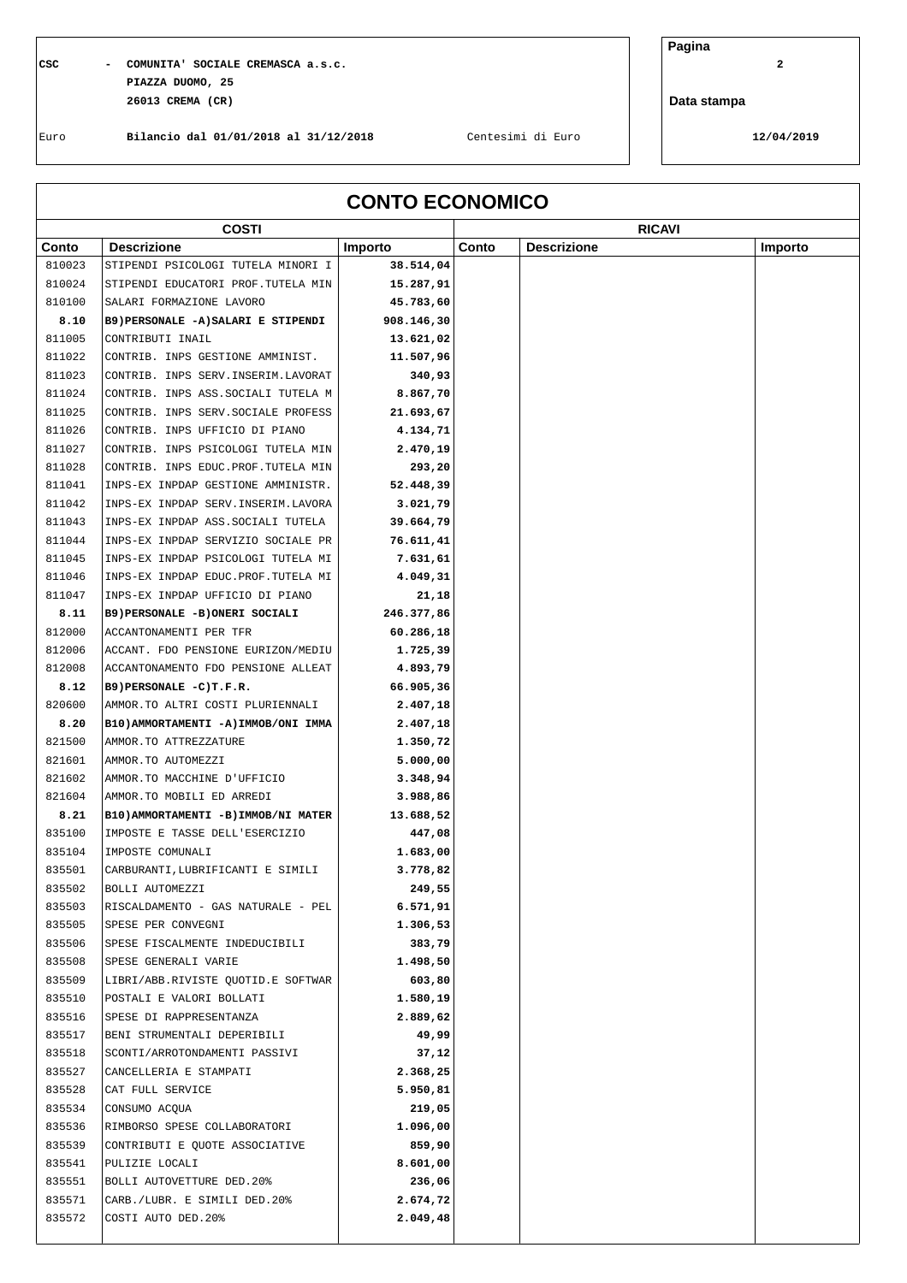$\mathbf{I}$ 

## **CSC - COMUNITA' SOCIALE CREMASCA a.s.c. 2 PIAZZA DUOMO, 25 26013 CREMA (CR)**

**Pagina**

**Data stampa**

Euro **Bilancio dal 01/01/2018 al 31/12/2018** Centesimi di Euro **12/04/2019**

| <b>CONTO ECONOMICO</b> |                                      |            |       |                    |         |
|------------------------|--------------------------------------|------------|-------|--------------------|---------|
|                        | <b>COSTI</b>                         |            |       | <b>RICAVI</b>      |         |
| Conto                  | <b>Descrizione</b>                   | Importo    | Conto | <b>Descrizione</b> | Importo |
| 810023                 | STIPENDI PSICOLOGI TUTELA MINORI I   | 38.514,04  |       |                    |         |
| 810024                 | STIPENDI EDUCATORI PROF.TUTELA MIN   | 15.287,91  |       |                    |         |
| 810100                 | SALARI FORMAZIONE LAVORO             | 45.783,60  |       |                    |         |
| 8.10                   | B9) PERSONALE -A) SALARI E STIPENDI  | 908.146,30 |       |                    |         |
| 811005                 | CONTRIBUTI INAIL                     | 13.621,02  |       |                    |         |
| 811022                 | CONTRIB. INPS GESTIONE AMMINIST.     | 11.507,96  |       |                    |         |
| 811023                 | CONTRIB. INPS SERV. INSERIM. LAVORAT | 340,93     |       |                    |         |
| 811024                 | CONTRIB. INPS ASS. SOCIALI TUTELA M  | 8.867,70   |       |                    |         |
| 811025                 | CONTRIB. INPS SERV. SOCIALE PROFESS  | 21.693,67  |       |                    |         |
| 811026                 | CONTRIB. INPS UFFICIO DI PIANO       | 4.134,71   |       |                    |         |
| 811027                 | CONTRIB. INPS PSICOLOGI TUTELA MIN   | 2.470,19   |       |                    |         |
| 811028                 | CONTRIB. INPS EDUC. PROF. TUTELA MIN | 293,20     |       |                    |         |
| 811041                 | INPS-EX INPDAP GESTIONE AMMINISTR.   | 52.448,39  |       |                    |         |
| 811042                 | INPS-EX INPDAP SERV. INSERIM. LAVORA | 3.021,79   |       |                    |         |
| 811043                 | INPS-EX INPDAP ASS. SOCIALI TUTELA   | 39.664,79  |       |                    |         |
| 811044                 | INPS-EX INPDAP SERVIZIO SOCIALE PR   | 76.611,41  |       |                    |         |
| 811045                 | INPS-EX INPDAP PSICOLOGI TUTELA MI   | 7.631,61   |       |                    |         |
| 811046                 | INPS-EX INPDAP EDUC.PROF.TUTELA MI   | 4.049,31   |       |                    |         |
| 811047                 | INPS-EX INPDAP UFFICIO DI PIANO      | 21,18      |       |                    |         |
| 8.11                   | B9) PERSONALE -B) ONERI SOCIALI      | 246.377,86 |       |                    |         |
| 812000                 | ACCANTONAMENTI PER TFR               | 60.286,18  |       |                    |         |
| 812006                 |                                      |            |       |                    |         |
|                        | ACCANT. FDO PENSIONE EURIZON/MEDIU   | 1.725,39   |       |                    |         |
| 812008                 | ACCANTONAMENTO FDO PENSIONE ALLEAT   | 4.893,79   |       |                    |         |
| 8.12                   | B9) PERSONALE -C) T.F.R.             | 66.905,36  |       |                    |         |
| 820600                 | AMMOR.TO ALTRI COSTI PLURIENNALI     | 2.407,18   |       |                    |         |
| 8.20                   | B10) AMMORTAMENTI -A) IMMOB/ONI IMMA | 2.407,18   |       |                    |         |
| 821500                 | AMMOR.TO ATTREZZATURE                | 1.350,72   |       |                    |         |
| 821601                 | AMMOR.TO AUTOMEZZI                   | 5.000,00   |       |                    |         |
| 821602                 | AMMOR.TO MACCHINE D'UFFICIO          | 3.348,94   |       |                    |         |
| 821604                 | AMMOR.TO MOBILI ED ARREDI            | 3.988,86   |       |                    |         |
| 8.21                   | B10) AMMORTAMENTI -B) IMMOB/NI MATER | 13.688,52  |       |                    |         |
| 835100                 | IMPOSTE E TASSE DELL'ESERCIZIO       | 447,08     |       |                    |         |
| 835104                 | IMPOSTE COMUNALI                     | 1.683,00   |       |                    |         |
| 835501                 | CARBURANTI, LUBRIFICANTI E SIMILI    | 3.778,82   |       |                    |         |
| 835502                 | BOLLI AUTOMEZZI                      | 249,55     |       |                    |         |
| 835503                 | RISCALDAMENTO - GAS NATURALE - PEL   | 6.571, 91  |       |                    |         |
| 835505                 | SPESE PER CONVEGNI                   | 1.306,53   |       |                    |         |
| 835506                 | SPESE FISCALMENTE INDEDUCIBILI       | 383,79     |       |                    |         |
| 835508                 | SPESE GENERALI VARIE                 | 1.498,50   |       |                    |         |
| 835509                 | LIBRI/ABB.RIVISTE QUOTID.E SOFTWAR   | 603,80     |       |                    |         |
| 835510                 | POSTALI E VALORI BOLLATI             | 1.580,19   |       |                    |         |
| 835516                 | SPESE DI RAPPRESENTANZA              | 2.889,62   |       |                    |         |
| 835517                 | BENI STRUMENTALI DEPERIBILI          | 49,99      |       |                    |         |
| 835518                 | SCONTI/ARROTONDAMENTI PASSIVI        | 37,12      |       |                    |         |
| 835527                 | CANCELLERIA E STAMPATI               | 2.368,25   |       |                    |         |
| 835528                 | CAT FULL SERVICE                     | 5.950,81   |       |                    |         |
| 835534                 | CONSUMO ACQUA                        | 219,05     |       |                    |         |
| 835536                 | RIMBORSO SPESE COLLABORATORI         | 1.096,00   |       |                    |         |
|                        |                                      |            |       |                    |         |
| 835539                 | CONTRIBUTI E QUOTE ASSOCIATIVE       | 859,90     |       |                    |         |
| 835541                 | PULIZIE LOCALI                       | 8.601,00   |       |                    |         |
| 835551                 | BOLLI AUTOVETTURE DED.20%            | 236,06     |       |                    |         |
| 835571                 | CARB./LUBR. E SIMILI DED.20%         | 2.674,72   |       |                    |         |
| 835572                 | COSTI AUTO DED.20%                   | 2.049,48   |       |                    |         |
|                        |                                      |            |       |                    |         |